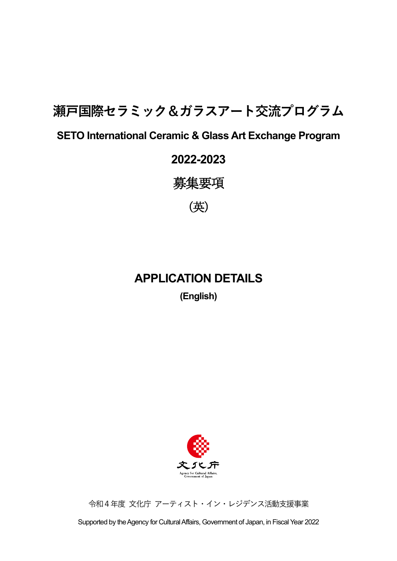# **瀬戸国際セラミック&ガラスアート交流プログラム**

## **SETO International Ceramic & Glass Art Exchange Program**

## **2022-2023**

募集要項

(英)

## **APPLICATION DETAILS**

**(English)**



令和4年度 文化庁 アーティスト・イン・レジデンス活動支援事業

Supported by the Agency for Cultural Affairs, Government of Japan, in Fiscal Year 2022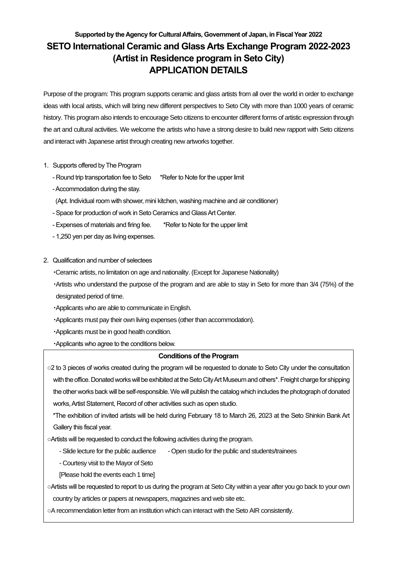### **Supported by the Agency for Cultural Affairs, Government of Japan, in Fiscal Year 2022 SETO International Ceramic and Glass Arts Exchange Program 2022-2023 (Artist in Residence program in Seto City) APPLICATION DETAILS**

Purpose of the program: This program supports ceramic and glass artists from all over the world in order to exchange ideas with local artists, which will bring new different perspectives to Seto City with more than 1000 years of ceramic history. This program also intends to encourage Seto citizens to encounter different forms of artistic expression through the art and cultural activities. We welcome the artists who have a strong desire to build new rapport with Seto citizens and interact with Japanese artist through creating new artworks together.

- 1. Supports offered by The Program
	- Round trip transportation fee to Seto \*Refer to Note for the upper limit
	- -Accommodation during the stay.
	- (Apt. Individual room with shower, mini kitchen, washing machine and air conditioner)
	- Space for production of work in Seto Ceramics and Glass Art Center.
	- Expenses of materials and firing fee. \*Refer to Note for the upper limit
	- 1,250 yen per day as living expenses.
- 2. Qualification and number of selectees
	- ・Ceramic artists, no limitation on age and nationality. (Except for Japanese Nationality)
	- ・Artists who understand the purpose of the program and are able to stay in Seto for more than 3/4 (75%) of the designated period of time.
	- ・Applicants who are able to communicate in English.
	- ・Applicants must pay their own living expenses (other than accommodation).
	- ・Applicants must be in good health condition.
	- ・Applicants who agree to the conditions below.

#### **Conditions of the Program**

○2 to 3 pieces of works created during the program will be requested to donate to Seto City under the consultation with the office. Donated works will be exhibited at the Seto City Art Museum and others\*. Freight charge for shipping the other works back will be self-responsible. We will publish the catalog which includes the photograph of donated works, Artist Statement, Record of other activities such as open studio.

\*The exhibition of invited artists will be held during February 18 to March 26, 2023 at the Seto Shinkin Bank Art Gallery this fiscal year.

○Artists will be requested to conduct the following activities during the program.

- Slide lecture for the public audience Open studio for the public and students/trainees
- Courtesy visit to the Mayor of Seto
- [Please hold the events each 1 time]

○Artists will be requested to report to us during the program at Seto City within a year after you go back to your own

country by articles or papers at newspapers, magazines and web site etc.

○A recommendation letter from an institution which can interact with the Seto AIR consistently.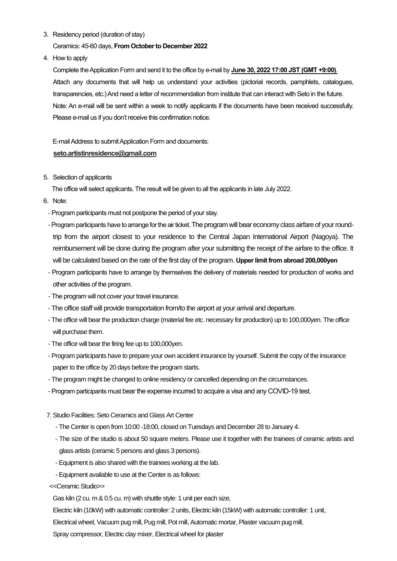3. Residency period (duration of stay)

Ceramics: 45-60 days, **From October to December 2022**

4. How to apply

Complete the Application Form and send it to the office by e-mail by **June 30, 2022 17:00 JST (GMT +9:00)**. Attach any documents that will help us understand your activities (pictorial records, pamphlets, catalogues, transparencies, etc.) And need a letter of recommendation from institute that can interact with Seto in the future. Note: An e-mail will be sent within a week to notify applicants if the documents have been received successfully. Please e-mail us if you don't receive this confirmation notice.

E-mail Address to submit Application Form and documents: **seto.artistinresidence@gmail.com**

5. Selection of applicants

The office will select applicants. The result will be given to all the applicants in late July 2022.

- 6. Note:
	- Program participants must not postpone the period of your stay.
	- -Program participants have to arrange for the air ticket. The program will bear economy class airfare of your roundtrip from the airport closest to your residence to the Central Japan International Airport (Nagoya). The reimbursement will be done during the program after your submitting the receipt of the airfare to the office. It will be calculated based on the rate of the first day of the program. **Upper limit from abroad 200,000yen**
	- Program participants have to arrange by themselves the delivery of materials needed for production of works and other activities of the program.
	- The program will not cover your travel insurance.
	- The office staff will provide transportation from/to the airport at your arrival and departure.
	- The office will bear the production charge (material fee etc. necessary for production) up to 100,000yen. The office will purchase them.
	- The office will bear the firing fee up to 100,000yen.
	- Program participants have to prepare your own accident insurance by yourself. Submit the copy of the insurance paper to the office by 20 days before the program starts.
	- The program might be changed to online residency or cancelled depending on the circumstances.
	- Program participants must bear the expense incurred to acquire a visa and any COVID-19 test.
- 7. Studio Facilities: Seto Ceramics and Glass Art Center
	- The Center is open from 10:00 -18:00, closed on Tuesdays and December 28 to January 4.
	- The size of the studio is about 50 square meters. Please use it together with the trainees of ceramic artists and glass artists (ceramic 5 persons and glass 3 persons).
	- Equipment is also shared with the trainees working at the lab.
	- Equipment available to use at the Center is as follows:
- <<Ceramic Studio>>

Gas kiln (2 cu. m & 0.5 cu. m) with shuttle style: 1 unit per each size,

Electric kiln (10kW) with automatic controller: 2 units, Electric kiln (15kW) with automatic controller: 1 unit,

Electrical wheel, Vacuum pug mill, Pug mill, Pot mill, Automatic mortar, Plaster vacuum pug mill,

Spray compressor, Electric clay mixer, Electrical wheel for plaster